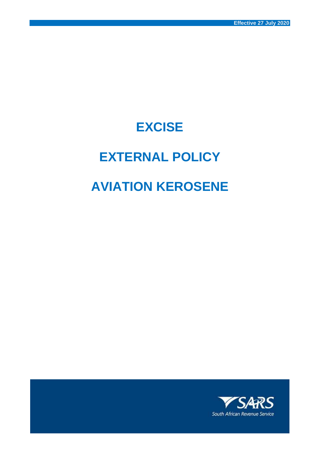## **EXCISE**

# **EXTERNAL POLICY**

# **AVIATION KEROSENE**

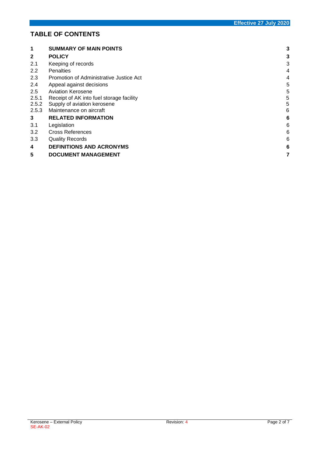## **TABLE OF CONTENTS**

| 1            | <b>SUMMARY OF MAIN POINTS</b>            | 3 |
|--------------|------------------------------------------|---|
| $\mathbf{2}$ | <b>POLICY</b>                            | 3 |
| 2.1          | Keeping of records                       | 3 |
| 2.2          | <b>Penalties</b>                         | 4 |
| 2.3          | Promotion of Administrative Justice Act  | 4 |
| 2.4          | Appeal against decisions                 | 5 |
| 2.5          | <b>Aviation Kerosene</b>                 | 5 |
| 2.5.1        | Receipt of AK into fuel storage facility | 5 |
| 2.5.2        | Supply of aviation kerosene              | 5 |
| 2.5.3        | Maintenance on aircraft                  | 6 |
| 3            | <b>RELATED INFORMATION</b>               | 6 |
| 3.1          | Legislation                              | 6 |
| 3.2          | Cross References                         | 6 |
| 3.3          | <b>Quality Records</b>                   | 6 |
| 4            | <b>DEFINITIONS AND ACRONYMS</b>          | 6 |
| 5            | <b>DOCUMENT MANAGEMENT</b>               | 7 |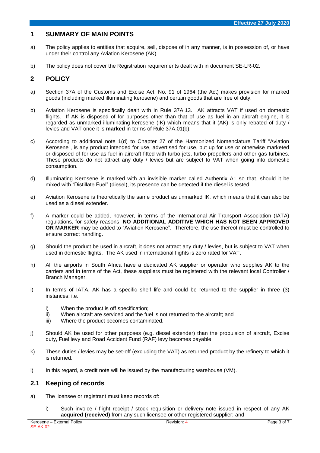### <span id="page-2-0"></span>**1 SUMMARY OF MAIN POINTS**

- a) The policy applies to entities that acquire, sell, dispose of in any manner, is in possession of, or have under their control any Aviation Kerosene (AK).
- b) The policy does not cover the Registration requirements dealt with in document SE-LR-02.

## <span id="page-2-1"></span>**2 POLICY**

- a) Section 37A of the Customs and Excise Act, No. 91 of 1964 (the Act) makes provision for marked goods (including marked illuminating kerosene) and certain goods that are free of duty.
- b) Aviation Kerosene is specifically dealt with in Rule 37A.13. AK attracts VAT if used on domestic flights. If AK is disposed of for purposes other than that of use as fuel in an aircraft engine, it is regarded as unmarked illuminating kerosene (IK) which means that it (AK) is only rebated of duty / levies and VAT once it is **marked** in terms of Rule 37A.01(b).
- c) According to additional note 1(d) to Chapter 27 of the Harmonized Nomenclature Tariff "Aviation Kerosene", is any product intended for use, advertised for use, put up for use or otherwise marketed or disposed of for use as fuel in aircraft fitted with turbo-jets, turbo-propellers and other gas turbines. These products do not attract any duty / levies but are subject to VAT when going into domestic consumption.
- d) Illuminating Kerosene is marked with an invisible marker called Authentix A1 so that, should it be mixed with "Distillate Fuel" (diesel), its presence can be detected if the diesel is tested.
- e) Aviation Kerosene is theoretically the same product as unmarked IK, which means that it can also be used as a diesel extender.
- f) A marker could be added, however, in terms of the International Air Transport Association (IATA) regulations, for safety reasons, **NO ADDITIONAL ADDITIVE WHICH HAS NOT BEEN APPROVED OR MARKER** may be added to "Aviation Kerosene". Therefore, the use thereof must be controlled to ensure correct handling.
- g) Should the product be used in aircraft, it does not attract any duty / levies, but is subject to VAT when used in domestic flights. The AK used in international flights is zero rated for VAT.
- h) All the airports in South Africa have a dedicated AK supplier or operator who supplies AK to the carriers and in terms of the Act, these suppliers must be registered with the relevant local Controller / Branch Manager.
- i) In terms of IATA, AK has a specific shelf life and could be returned to the supplier in three (3) instances; i.e.
	- i) When the product is off specification;<br>ii) When aircraft are serviced and the fue
	- When aircraft are serviced and the fuel is not returned to the aircraft; and
	- iii) Where the product becomes contaminated.
- j) Should AK be used for other purposes (e.g. diesel extender) than the propulsion of aircraft, Excise duty, Fuel levy and Road Accident Fund (RAF) levy becomes payable.
- k) These duties / levies may be set-off (excluding the VAT) as returned product by the refinery to which it is returned.
- I) In this regard, a credit note will be issued by the manufacturing warehouse (VM).

#### <span id="page-2-2"></span>**2.1 Keeping of records**

- a) The licensee or registrant must keep records of:
	- i) Such invoice / flight receipt / stock requisition or delivery note issued in respect of any AK **acquired (received)** from any such licensee or other registered supplier; and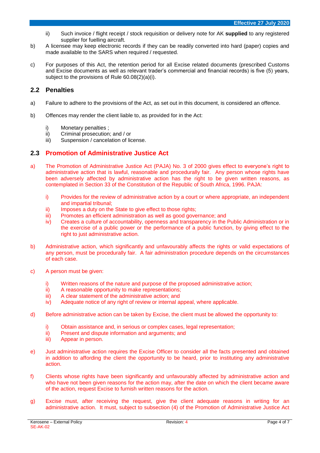- ii) Such invoice / flight receipt / stock requisition or delivery note for AK **supplied** to any registered supplier for fuelling aircraft.
- b) A licensee may keep electronic records if they can be readily converted into hard (paper) copies and made available to the SARS when required / requested.
- c) For purposes of this Act, the retention period for all Excise related documents (prescribed Customs and Excise documents as well as relevant trader's commercial and financial records) is five (5) years, subject to the provisions of Rule 60.08(2)(a)(i).

## <span id="page-3-0"></span>**2.2 Penalties**

- a) Failure to adhere to the provisions of the Act, as set out in this document, is considered an offence.
- b) Offences may render the client liable to, as provided for in the Act:
	- i) Monetary penalties ;
	- ii) Criminal prosecution; and / or
	- iii) Suspension / cancelation of license.

### <span id="page-3-1"></span>**2.3 Promotion of Administrative Justice Act**

- a) The Promotion of Administrative Justice Act (PAJA) No. 3 of 2000 gives effect to everyone's right to administrative action that is lawful, reasonable and procedurally fair. Any person whose rights have been adversely affected by administrative action has the right to be given written reasons, as contemplated in Section 33 of the Constitution of the Republic of South Africa, 1996. PAJA:
	- i) Provides for the review of administrative action by a court or where appropriate, an independent and impartial tribunal;
	- ii) Imposes a duty on the State to give effect to those rights;
	- iii) Promotes an efficient administration as well as good governance; and
	- iv) Creates a culture of accountability, openness and transparency in the Public Administration or in the exercise of a public power or the performance of a public function, by giving effect to the right to just administrative action.
- b) Administrative action, which significantly and unfavourably affects the rights or valid expectations of any person, must be procedurally fair. A fair administration procedure depends on the circumstances of each case.
- c) A person must be given:
	- i) Written reasons of the nature and purpose of the proposed administrative action;
	- ii) A reasonable opportunity to make representations;
	- iii) A clear statement of the administrative action; and
	- iv) Adequate notice of any right of review or internal appeal, where applicable.
- d) Before administrative action can be taken by Excise, the client must be allowed the opportunity to:
	- i) Obtain assistance and, in serious or complex cases, legal representation;
	- ii) Present and dispute information and arguments; and
	- iii) Appear in person.
- e) Just administrative action requires the Excise Officer to consider all the facts presented and obtained in addition to affording the client the opportunity to be heard, prior to instituting any administrative action.
- f) Clients whose rights have been significantly and unfavourably affected by administrative action and who have not been given reasons for the action may, after the date on which the client became aware of the action, request Excise to furnish written reasons for the action.
- g) Excise must, after receiving the request, give the client adequate reasons in writing for an administrative action. It must, subject to subsection (4) of the Promotion of Administrative Justice Act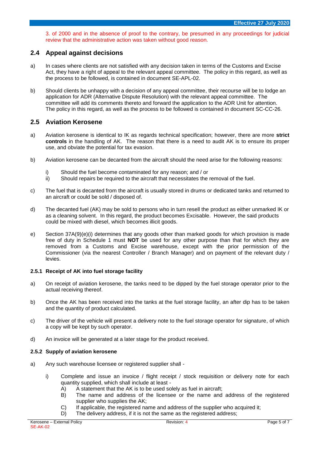3. of 2000 and in the absence of proof to the contrary, be presumed in any proceedings for judicial review that the administrative action was taken without good reason.

## <span id="page-4-0"></span>**2.4 Appeal against decisions**

- a) In cases where clients are not satisfied with any decision taken in terms of the Customs and Excise Act, they have a right of appeal to the relevant appeal committee. The policy in this regard, as well as the process to be followed, is contained in document SE-APL-02.
- b) Should clients be unhappy with a decision of any appeal committee, their recourse will be to lodge an application for ADR (Alternative Dispute Resolution) with the relevant appeal committee. The committee will add its comments thereto and forward the application to the ADR Unit for attention. The policy in this regard, as well as the process to be followed is contained in document SC-CC-26.

## <span id="page-4-1"></span>**2.5 Aviation Kerosene**

- a) Aviation kerosene is identical to IK as regards technical specification; however, there are more **strict controls** in the handling of AK. The reason that there is a need to audit AK is to ensure its proper use, and obviate the potential for tax evasion.
- b) Aviation kerosene can be decanted from the aircraft should the need arise for the following reasons:
	- i) Should the fuel become contaminated for any reason; and / or
	- ii) Should repairs be required to the aircraft that necessitates the removal of the fuel.
- c) The fuel that is decanted from the aircraft is usually stored in drums or dedicated tanks and returned to an aircraft or could be sold / disposed of.
- d) The decanted fuel (AK) may be sold to persons who in turn resell the product as either unmarked IK or as a cleaning solvent. In this regard, the product becomes Excisable. However, the said products could be mixed with diesel, which becomes illicit goods.
- e) Section 37A(9)(e)(i) determines that any goods other than marked goods for which provision is made free of duty in Schedule 1 must **NOT** be used for any other purpose than that for which they are removed from a Customs and Excise warehouse, except with the prior permission of the Commissioner (via the nearest Controller / Branch Manager) and on payment of the relevant duty / levies.

#### <span id="page-4-2"></span>**2.5.1 Receipt of AK into fuel storage facility**

- a) On receipt of aviation kerosene, the tanks need to be dipped by the fuel storage operator prior to the actual receiving thereof.
- b) Once the AK has been received into the tanks at the fuel storage facility, an after dip has to be taken and the quantity of product calculated.
- c) The driver of the vehicle will present a delivery note to the fuel storage operator for signature, of which a copy will be kept by such operator.
- d) An invoice will be generated at a later stage for the product received.

#### <span id="page-4-3"></span>**2.5.2 Supply of aviation kerosene**

- a) Any such warehouse licensee or registered supplier shall
	- i) Complete and issue an invoice / flight receipt / stock requisition or delivery note for each quantity supplied, which shall include at least -
		- A) A statement that the AK is to be used solely as fuel in aircraft;
		- B) The name and address of the licensee or the name and address of the registered supplier who supplies the AK;
		- C) If applicable, the registered name and address of the supplier who acquired it;
		- D) The delivery address, if it is not the same as the registered address;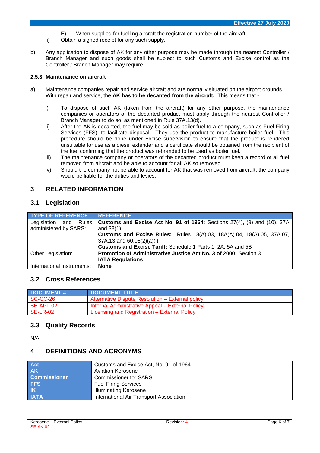- E) When supplied for fuelling aircraft the registration number of the aircraft;
- ii) Obtain a signed receipt for any such supply.
- b) Any application to dispose of AK for any other purpose may be made through the nearest Controller / Branch Manager and such goods shall be subject to such Customs and Excise control as the Controller / Branch Manager may require.

#### <span id="page-5-0"></span>**2.5.3 Maintenance on aircraft**

- a) Maintenance companies repair and service aircraft and are normally situated on the airport grounds. With repair and service, the **AK has to be decanted from the aircraft.** This means that
	- i) To dispose of such AK (taken from the aircraft) for any other purpose, the maintenance companies or operators of the decanted product must apply through the nearest Controller / Branch Manager to do so, as mentioned in Rule 37A.13(d).
	- ii) After the AK is decanted, the fuel may be sold as boiler fuel to a company, such as Fuel Firing Services (FFS), to facilitate disposal. They use the product to manufacture boiler fuel. This procedure should be done under Excise supervision to ensure that the product is rendered unsuitable for use as a diesel extender and a certificate should be obtained from the recipient of the fuel confirming that the product was rebranded to be used as boiler fuel.
	- iii) The maintenance company or operators of the decanted product must keep a record of all fuel removed from aircraft and be able to account for all AK so removed.
	- iv) Should the company not be able to account for AK that was removed from aircraft, the company would be liable for the duties and levies.

### <span id="page-5-1"></span>**3 RELATED INFORMATION**

### <span id="page-5-2"></span>**3.1 Legislation**

| <b>TYPE OF REFERENCE</b>                       | <b>REFERENCE</b>                                                                                    |
|------------------------------------------------|-----------------------------------------------------------------------------------------------------|
| Legislation and Rules<br>administered by SARS: | Customs and Excise Act No. 91 of 1964: Sections $27(4)$ , (9) and (10), 37A<br>and $38(1)$          |
|                                                | Customs and Excise Rules: Rules 18(A).03, 18A(A).04, 18(A).05, 37A.07,<br>37A.13 and 60.08(2)(a)(i) |
|                                                | Customs and Excise Tariff: Schedule 1 Parts 1, 2A, 5A and 5B                                        |
| Other Legislation:                             | Promotion of Administrative Justice Act No. 3 of 2000: Section 3<br><b>IATA Regulations</b>         |
| International Instruments:                     | <b>None</b>                                                                                         |

#### <span id="page-5-3"></span>**3.2 Cross References**

| <b>DOCUMENT#</b> | <b>DOCUMENT TITLE</b>                            |
|------------------|--------------------------------------------------|
| SC-CC-26         | Alternative Dispute Resolution – External policy |
| SE-APL-02        | Internal Administrative Appeal - External Policy |
| <b>SE-LR-02</b>  | Licensing and Registration – External Policy     |

#### <span id="page-5-4"></span>**3.3 Quality Records**

N/A

#### <span id="page-5-5"></span>**4 DEFINITIONS AND ACRONYMS**

| Act                 | Customs and Excise Act, No. 91 of 1964  |
|---------------------|-----------------------------------------|
| <b>AK</b>           | <b>Aviation Kerosene</b>                |
| <b>Commissioner</b> | <b>Commissioner for SARS</b>            |
| <b>FFS</b>          | <b>Fuel Firing Services</b>             |
| $ $ $ $ $ $         | <b>Illuminating Kerosene</b>            |
| <b>IATA</b>         | International Air Transport Association |